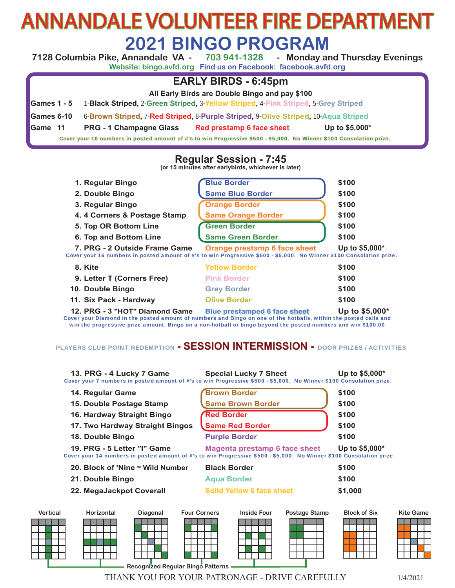# ANNANDALE VOLUNTEER FIRE DEPARTMENT **2021 BINGO PROGRAM**<br>Annandale VA - 703 941-1328 - Monday ar

**7128 Columbia Pike, Annandale VA - 703 941-1328 - Monday and Thursday Evenings Website: bingo.avfd.org Find us on Facebook: facebook.avfd.org**

#### **EARLY BIRDS - 6:45pm**

**All Early Birds are Double Bingo and pay \$100**

**Games 1 - 5** 1-**Black Striped,** 2-**Green Striped,** 3-**Yellow Striped,** 4-**Pink Striped,** 5-**Grey Striped**

**Games 6-10** 6-**Brown Striped,** 7-**Red Striped,** 8-**Purple Striped,** 9-**Olive Striped,** 10-**Aqua Striped**

**Game 11 PRG - 1 Champagne Glass Red prestamp 6 face sheet Up to \$5,000\***

Cover your 10 numbers in posted amount of #'s to win Progressive \$500 - \$5,000. No Winner \$100 Consolation prize.

**Regular Session - 7:45 (or 15 minutes after earlybirds, whichever is later)**

| 1. Regular Bingo                                                                                                                                      | <b>Blue Border</b>                  | \$100           |
|-------------------------------------------------------------------------------------------------------------------------------------------------------|-------------------------------------|-----------------|
| 2. Double Bingo                                                                                                                                       | <b>Same Blue Border</b>             | \$100           |
| 3. Regular Bingo                                                                                                                                      | <b>Orange Border</b>                | \$100           |
| 4. 4 Corners & Postage Stamp                                                                                                                          | <b>Same Orange Border</b>           | \$100           |
| 5. Top OR Bottom Line                                                                                                                                 | <b>Green Border</b>                 | \$100           |
| 6. Top and Bottom Line                                                                                                                                | <b>Same Green Border</b>            | \$100           |
| 7. PRG - 2 Outside Frame Game<br>Cover your 16 numbers in posted amount of #'s to win Progressive \$500 - \$5,000. No Winner \$100 Consolation prize. | Orange prestamp 6 face sheet        | Up to \$5,000*  |
| 8. Kite                                                                                                                                               | <b>Yellow Border</b>                | \$100           |
| 9. Letter T (Corners Free)                                                                                                                            | <b>Pink Border</b>                  | \$100           |
| 10. Double Bingo                                                                                                                                      | <b>Grey Border</b>                  | \$100           |
| 11. Six Pack - Hardway                                                                                                                                | <b>Olive Border</b>                 | \$100           |
| 12. PRG - 3 "HOT" Diamond Game                                                                                                                        | <b>Blue prestamped 6 face sheet</b> | Up to $$5,000*$ |

Cover your Diamond in the posted amount of numbers and Bingo on one of the hotballs, within the posted calls and win the progressive prize amount. Bingo on a non-hotball or bingo beyond the posted numbers and win \$100.00

#### PLAYERS CLUB POINT REDEMPTION **- SESSION INTERMISSION -** DOOR PRIZES / ACTIVITIES